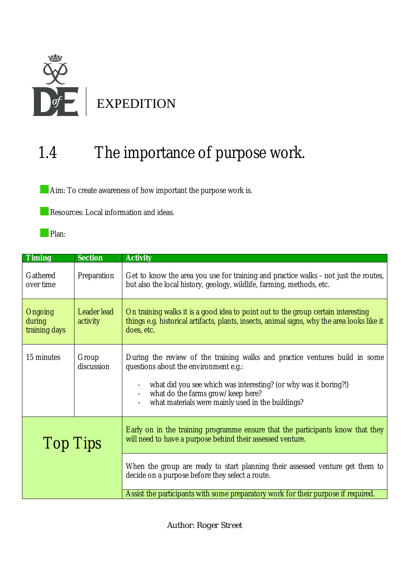

## 1.4 The importance of purpose work.

Aim: To create awareness of how important the purpose work is.

**Resources: Local information and ideas.** 

Plan:

| <b>Timing</b>                      | <b>Section</b>          | <b>Activity</b>                                                                                                                                                                                                                                                                    |
|------------------------------------|-------------------------|------------------------------------------------------------------------------------------------------------------------------------------------------------------------------------------------------------------------------------------------------------------------------------|
| Gathered<br>over time              | Preparation             | Get to know the area you use for training and practice walks - not just the routes,<br>but also the local history, geology, wildlife, farming, methods, etc.                                                                                                                       |
| Ongoing<br>during<br>training days | Leader lead<br>activity | On training walks it is a good idea to point out to the group certain interesting<br>things e.g. historical artifacts, plants, insects, animal signs, why the area looks like it<br>does, etc.                                                                                     |
| 15 minutes                         | Group<br>discussion     | During the review of the training walks and practice ventures build in some<br>questions about the environment e.g.:<br>what did you see which was interesting? (or why was it boring?!)<br>what do the farms grow/keep here?<br>what materials were mainly used in the buildings? |
| <b>Top Tips</b>                    |                         | Early on in the training programme ensure that the participants know that they<br>will need to have a purpose behind their assessed venture.                                                                                                                                       |
|                                    |                         | When the group are ready to start planning their assessed venture get them to<br>decide on a purpose before they select a route.<br>Assist the participants with some preparatory work for their purpose if required.                                                              |

Author: *Roger Street*